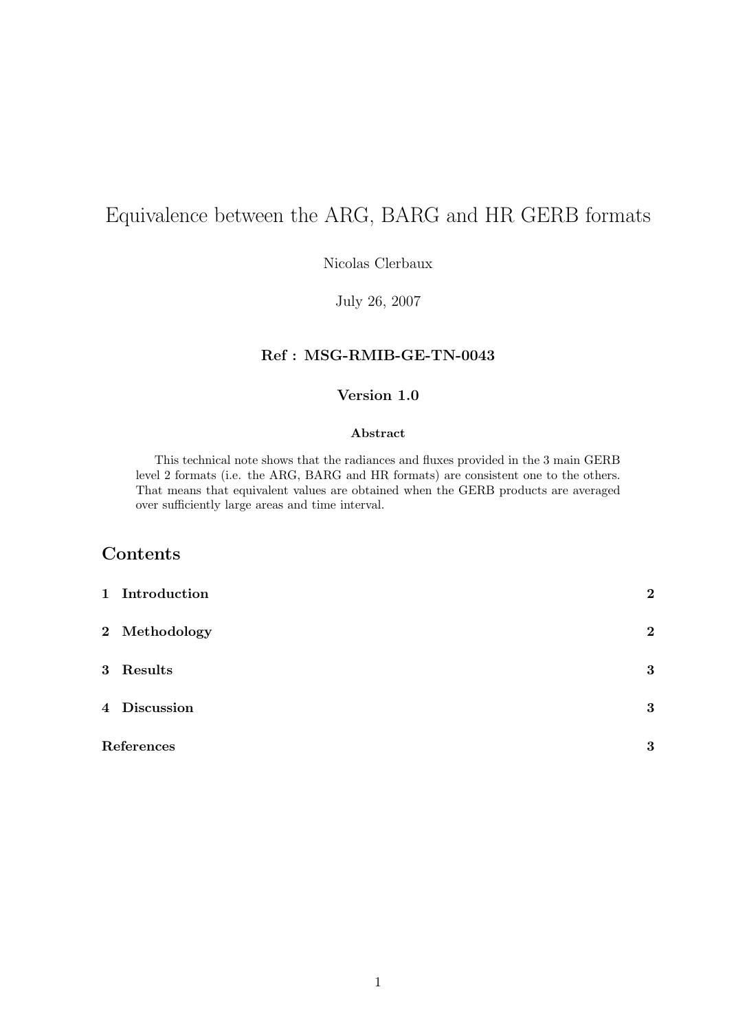# Equivalence between the ARG, BARG and HR GERB formats

Nicolas Clerbaux

July 26, 2007

### Ref : MSG-RMIB-GE-TN-0043

#### Version 1.0

#### Abstract

This technical note shows that the radiances and fluxes provided in the 3 main GERB level 2 formats (i.e. the ARG, BARG and HR formats) are consistent one to the others. That means that equivalent values are obtained when the GERB products are averaged over sufficiently large areas and time interval.

### Contents

| 1 Introduction | $\overline{2}$ |
|----------------|----------------|
| 2 Methodology  | $\overline{2}$ |
| 3 Results      | 3              |
| 4 Discussion   | 3              |
| References     | 3              |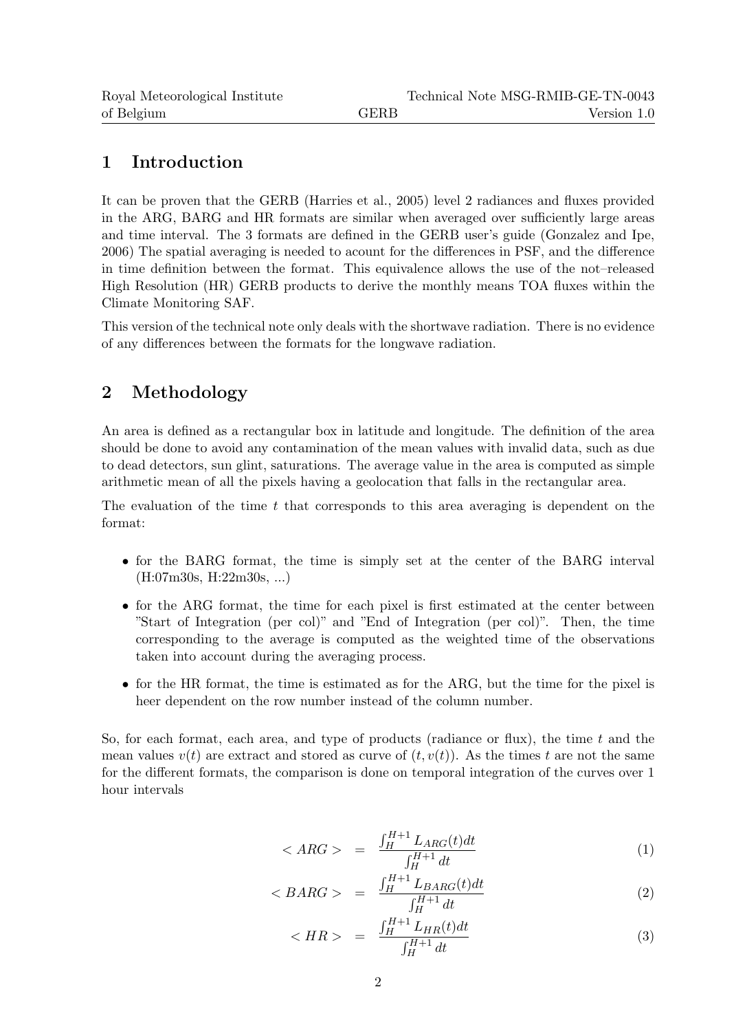# 1 Introduction

It can be proven that the GERB (Harries et al., 2005) level 2 radiances and fluxes provided in the ARG, BARG and HR formats are similar when averaged over sufficiently large areas and time interval. The 3 formats are defined in the GERB user's guide (Gonzalez and Ipe, 2006) The spatial averaging is needed to acount for the differences in PSF, and the difference in time definition between the format. This equivalence allows the use of the not–released High Resolution (HR) GERB products to derive the monthly means TOA fluxes within the Climate Monitoring SAF.

This version of the technical note only deals with the shortwave radiation. There is no evidence of any differences between the formats for the longwave radiation.

# 2 Methodology

An area is defined as a rectangular box in latitude and longitude. The definition of the area should be done to avoid any contamination of the mean values with invalid data, such as due to dead detectors, sun glint, saturations. The average value in the area is computed as simple arithmetic mean of all the pixels having a geolocation that falls in the rectangular area.

The evaluation of the time  $t$  that corresponds to this area averaging is dependent on the format:

- for the BARG format, the time is simply set at the center of the BARG interval (H:07m30s, H:22m30s, ...)
- for the ARG format, the time for each pixel is first estimated at the center between "Start of Integration (per col)" and "End of Integration (per col)". Then, the time corresponding to the average is computed as the weighted time of the observations taken into account during the averaging process.
- for the HR format, the time is estimated as for the ARG, but the time for the pixel is heer dependent on the row number instead of the column number.

So, for each format, each area, and type of products (radiance or flux), the time  $t$  and the mean values  $v(t)$  are extract and stored as curve of  $(t, v(t))$ . As the times t are not the same for the different formats, the comparison is done on temporal integration of the curves over 1 hour intervals

$$
\langle \, ARG \, \rangle \quad = \quad \frac{\int_H^{H+1} L_{ARG}(t)dt}{\int_H^{H+1} dt} \tag{1}
$$

$$
\langle \, BARG \, > \, = \, \frac{\int_H^{H+1} L_{BARG}(t) dt}{\int_H^{H+1} dt} \tag{2}
$$

$$
\langle HR \rangle = \frac{\int_H^{H+1} L_{HR}(t)dt}{\int_H^{H+1} dt} \tag{3}
$$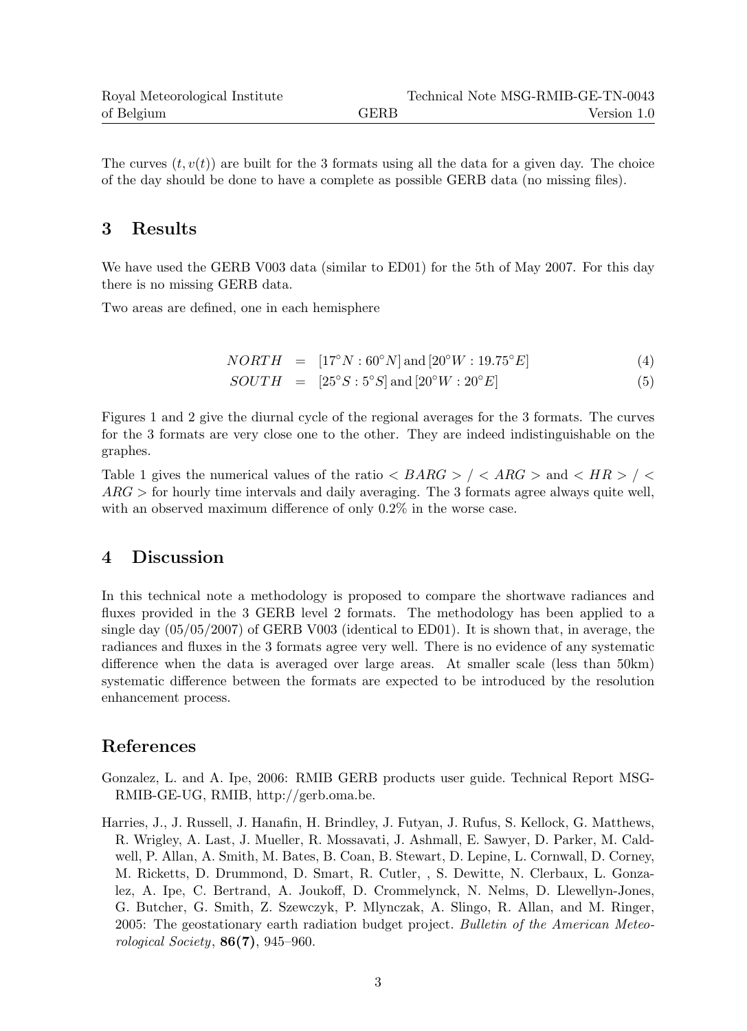The curves  $(t, v(t))$  are built for the 3 formats using all the data for a given day. The choice of the day should be done to have a complete as possible GERB data (no missing files).

# 3 Results

We have used the GERB V003 data (similar to ED01) for the 5th of May 2007. For this day there is no missing GERB data.

Two areas are defined, one in each hemisphere

$$
NORTH = [17^{\circ}N : 60^{\circ}N] \text{ and } [20^{\circ}W : 19.75^{\circ}E]
$$
 (4)

 $SOUTH = [25^{\circ}S:5^{\circ}S]$  and  $[20^{\circ}W:20^{\circ}E]$  (5)

Figures 1 and 2 give the diurnal cycle of the regional averages for the 3 formats. The curves for the 3 formats are very close one to the other. They are indeed indistinguishable on the graphes.

Table 1 gives the numerical values of the ratio  $\langle BARG \rangle / \langle ARG \rangle$  and  $\langle HR \rangle / \langle$  $ARG$  > for hourly time intervals and daily averaging. The 3 formats agree always quite well, with an observed maximum difference of only 0.2% in the worse case.

# 4 Discussion

In this technical note a methodology is proposed to compare the shortwave radiances and fluxes provided in the 3 GERB level 2 formats. The methodology has been applied to a single day (05/05/2007) of GERB V003 (identical to ED01). It is shown that, in average, the radiances and fluxes in the 3 formats agree very well. There is no evidence of any systematic difference when the data is averaged over large areas. At smaller scale (less than 50km) systematic difference between the formats are expected to be introduced by the resolution enhancement process.

# References

- Gonzalez, L. and A. Ipe, 2006: RMIB GERB products user guide. Technical Report MSG-RMIB-GE-UG, RMIB, http://gerb.oma.be.
- Harries, J., J. Russell, J. Hanafin, H. Brindley, J. Futyan, J. Rufus, S. Kellock, G. Matthews, R. Wrigley, A. Last, J. Mueller, R. Mossavati, J. Ashmall, E. Sawyer, D. Parker, M. Caldwell, P. Allan, A. Smith, M. Bates, B. Coan, B. Stewart, D. Lepine, L. Cornwall, D. Corney, M. Ricketts, D. Drummond, D. Smart, R. Cutler, , S. Dewitte, N. Clerbaux, L. Gonzalez, A. Ipe, C. Bertrand, A. Joukoff, D. Crommelynck, N. Nelms, D. Llewellyn-Jones, G. Butcher, G. Smith, Z. Szewczyk, P. Mlynczak, A. Slingo, R. Allan, and M. Ringer, 2005: The geostationary earth radiation budget project. Bulletin of the American Meteorological Society,  $86(7)$ , 945–960.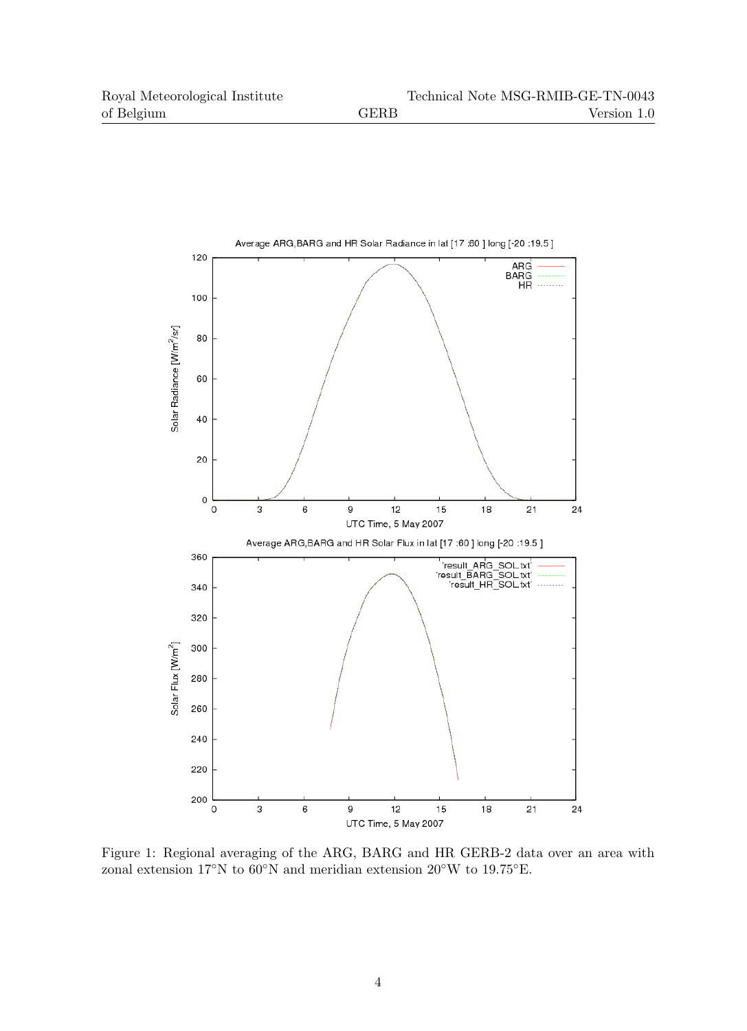

Figure 1: Regional averaging of the ARG, BARG and HR GERB-2 data over an area with zonal extension 17◦N to 60◦N and meridian extension 20◦W to 19.75◦E.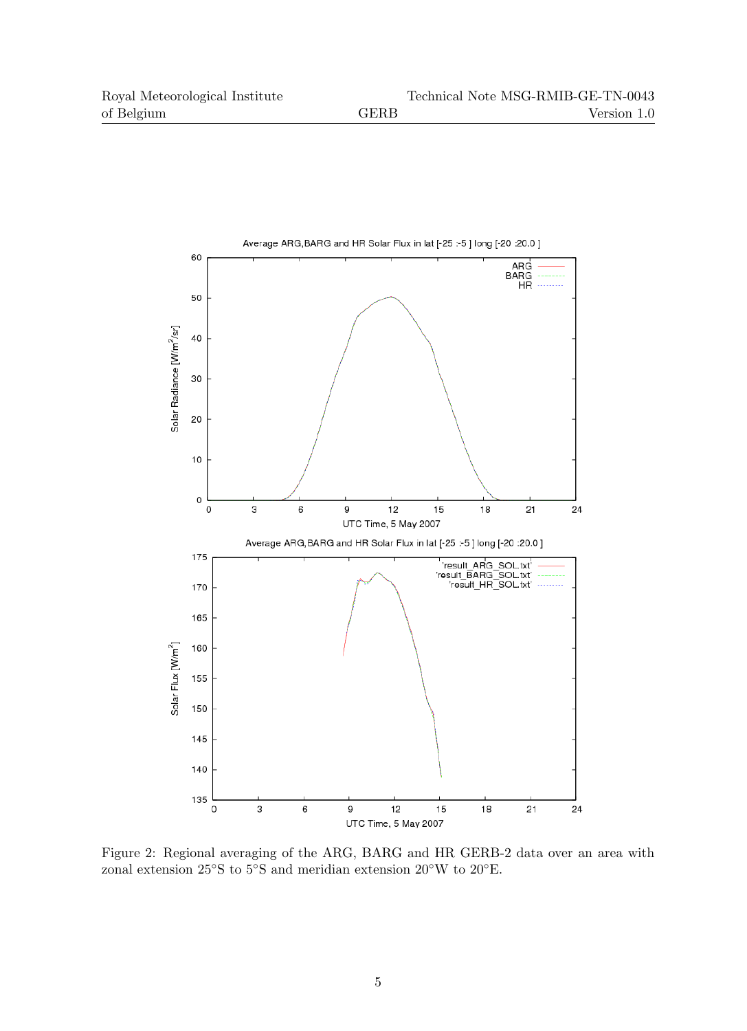

Figure 2: Regional averaging of the ARG, BARG and HR GERB-2 data over an area with zonal extension 25◦S to 5◦S and meridian extension 20◦W to 20◦E.